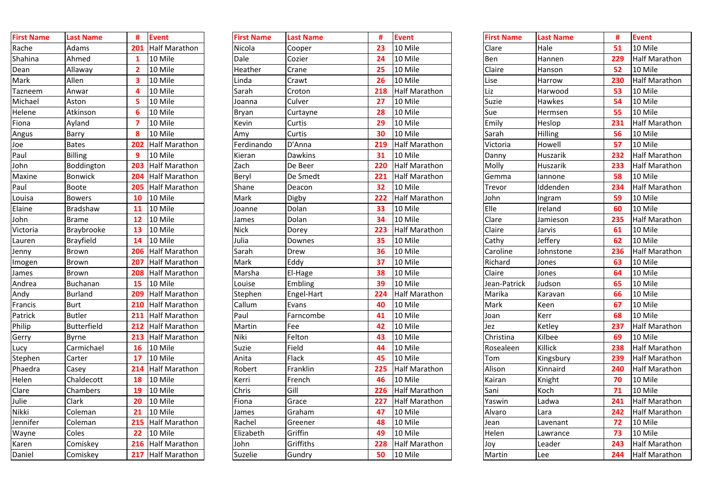| #                        | <b>Event</b>         | <b>First Name</b> | <b>Last Name</b> | #   | <b>Event</b>         |
|--------------------------|----------------------|-------------------|------------------|-----|----------------------|
| 23                       | 10 Mile              | Clare             | Hale             | 51  | 10 Mile              |
| $\overline{24}$          | 10 Mile              | Ben               | Hannen           | 229 | <b>Half Marathon</b> |
| 25                       | 10 Mile              | Claire            | Hanson           | 52  | 10 Mile              |
| $\frac{26}{5}$           | 10 Mile              | Lise              | Harrow           | 230 | <b>Half Marathon</b> |
| 18                       | <b>Half Marathon</b> | Liz               | Harwood          | 53  | 10 Mile              |
| $\overline{\mathbf{27}}$ | 10 Mile              | <b>Suzie</b>      | <b>Hawkes</b>    | 54  | 10 Mile              |
| $\overline{\mathbf{28}}$ | 10 Mile              | Sue               | Hermsen          | 55  | 10 Mile              |
| 29                       | 10 Mile              | Emily             | Heslop           | 231 | <b>Half Marathon</b> |
| 30                       | 10 Mile              | Sarah             | <b>Hilling</b>   | 56  | 10 Mile              |
| 19                       | <b>Half Marathon</b> | Victoria          | Howell           | 57  | 10 Mile              |
| $\overline{\mathbf{31}}$ | 10 Mile              | Danny             | Huszarik         | 232 | <b>Half Marathon</b> |
| <b>20</b>                | <b>Half Marathon</b> | Molly             | Huszarik         | 233 | <b>Half Marathon</b> |
| 21                       | <b>Half Marathon</b> | Gemma             | lannone          | 58  | 10 Mile              |
| $\overline{\mathbf{2}}$  | 10 Mile              | Trevor            | Iddenden         | 234 | <b>Half Marathon</b> |
| 22                       | <b>Half Marathon</b> | John              | Ingram           | 59  | 10 Mile              |
| 33 <sup>2</sup>          | 10 Mile              | Elle              | Ireland          | 60  | 10 Mile              |
| 34                       | 10 Mile              | Clare             | Jamieson         | 235 | <b>Half Marathon</b> |
| 23                       | <b>Half Marathon</b> | Claire            | Jarvis           | 61  | 10 Mile              |
| 35 <sub>2</sub>          | 10 Mile              | Cathy             | Jeffery          | 62  | 10 Mile              |
| 36                       | 10 Mile              | Caroline          | Johnstone        | 236 | <b>Half Marathon</b> |
| $\overline{\mathbf{37}}$ | 10 Mile              | Richard           | Jones            | 63  | 10 Mile              |
| 38                       | 10 Mile              | Claire            | Jones            | 64  | 10 Mile              |
| 39                       | 10 Mile              | Jean-Patrick      | Judson           | 65  | 10 Mile              |
| 24                       | <b>Half Marathon</b> | Marika            | Karavan          | 66  | 10 Mile              |
| 10                       | 10 Mile              | <b>Mark</b>       | <b>Keen</b>      | 67  | 10 Mile              |
| 11                       | 10 Mile              | Joan              | <b>Kerr</b>      | 68  | 10 Mile              |
| 12                       | 10 Mile              | Jez               | Ketley           | 237 | <b>Half Marathon</b> |
| 13                       | 10 Mile              | Christina         | Kilbee           | 69  | 10 Mile              |
| 14                       | 10 Mile              | Rosealeen         | <b>Killick</b>   | 238 | Half Marathon        |
| 15                       | 10 Mile              | Tom               | Kingsbury        | 239 | <b>Half Marathon</b> |
| $25\phantom{a}$          | Half Marathon        | Alison            | Kinnaird         | 240 | Half Marathon        |
| 16                       | 10 Mile              | Kairan            | Knight           | 70  | 10 Mile              |
| 26                       | Half Marathon        | Sani              | Koch             | 71  | 10 Mile              |
| 27                       | <b>Half Marathon</b> | Yaswin            | Ladwa            | 241 | Half Marathon        |
| $\mathbf{17}$            | 10 Mile              | Alvaro            | Lara             | 242 | <b>Half Marathon</b> |
| 18                       | 10 Mile              | Jean              | Lavenant         | 72  | 10 Mile              |
| 19                       | 10 Mile              | Helen             | Lawrance         | 73  | 10 Mile              |
| 28                       | Half Marathon        | Joy               | Leader           | 243 | Half Marathon        |
| 50                       | 10 Mile              | Martin            | Lee              | 244 | Half Marathon        |

| <b>First Name</b> | <b>Last Name</b>   | #   | <b>Event</b>         |
|-------------------|--------------------|-----|----------------------|
| Rache             | <b>Adams</b>       | 201 | <b>Half Marathon</b> |
| Shahina           | Ahmed              | 1   | 10 Mile              |
| Dean              | Allaway            | 2   | 10 Mile              |
| Mark              | Allen              | 3   | 10 Mile              |
| Tazneem           | Anwar              | 4   | 10 Mile              |
| Michael           | Aston              | 5   | 10 Mile              |
| Helene            | Atkinson           | 6   | 10 Mile              |
| Fiona             | Ayland             | 7   | 10 Mile              |
| Angus             | <b>Barry</b>       | 8   | 10 Mile              |
| Joe               | <b>Bates</b>       | 202 | <b>Half Marathon</b> |
| Paul              | <b>Billing</b>     | 9   | 10 Mile              |
| John              | Boddington         | 203 | <b>Half Marathon</b> |
| <b>Maxine</b>     | <b>Bonwick</b>     | 204 | <b>Half Marathon</b> |
| Paul              | <b>Boote</b>       | 205 | <b>Half Marathon</b> |
| Louisa            | <b>Bowers</b>      | 10  | 10 Mile              |
| Elaine            | <b>Bradshaw</b>    | 11  | 10 Mile              |
| John              | <b>Brame</b>       | 12  | 10 Mile              |
| Victoria          | <b>Braybrooke</b>  | 13  | 10 Mile              |
| Lauren            | <b>Brayfield</b>   | 14  | 10 Mile              |
| Jenny             | <b>Brown</b>       | 206 | <b>Half Marathon</b> |
| Imogen            | <b>Brown</b>       | 207 | <b>Half Marathon</b> |
| James             | <b>Brown</b>       | 208 | <b>Half Marathon</b> |
| Andrea            | <b>Buchanan</b>    | 15  | 10 Mile              |
| Andy              | <b>Burland</b>     | 209 | Half Marathon        |
| Francis           | <b>Burt</b>        | 210 | <b>Half Marathon</b> |
| Patrick           | <b>Butler</b>      | 211 | <b>Half Marathon</b> |
| Philip            | <b>Butterfield</b> | 212 | <b>Half Marathon</b> |
| Gerry             | <b>Byrne</b>       | 213 | <b>Half Marathon</b> |
| Lucy              | Carmichael         | 16  | 10 Mile              |
| Stephen           | Carter             | 17  | 10 Mile              |
| Phaedra           | Casey              | 214 | <b>Half Marathon</b> |
| Helen             | Chaldecott         | 18  | 10 Mile              |
| Clare             | Chambers           | 19  | 10 Mile              |
| Julie             | Clark              | 20  | 10 Mile              |
| <b>Nikki</b>      | Coleman            | 21  | 10 Mile              |
| Jennifer          | Coleman            | 215 | <b>Half Marathon</b> |
| Wayne             | Coles              | 22  | 10 Mile              |
| Karen             | Comiskey           | 216 | <b>Half Marathon</b> |
| Daniel            | Comiskey           | 217 | Half Marathon        |

| <b>First Name</b> | <b>Last Name</b>   |           | <b>Event</b>             | <b>First Name</b> | <b>Last Name</b> | #   | <b>Event</b>         | <b>First Name</b> | <b>Last Name</b> |     | <b>Event</b>         |
|-------------------|--------------------|-----------|--------------------------|-------------------|------------------|-----|----------------------|-------------------|------------------|-----|----------------------|
| Rache             | Adams              | 201       | Half Marathon            | Nicola            | Cooper           | 23  | 10 Mile              | Clare             | Hale             | 51  | 10 Mile              |
| Shahina           | Ahmed              |           | 10 Mile                  | Dale              | Cozier           | 24  | 10 Mile              | Ben               | Hannen           | 229 | <b>Half Marathon</b> |
| Dean              | Allaway            |           | 10 Mile                  | Heather           | Crane            | 25  | 10 Mile              | Claire            | Hanson           | 52  | 10 Mile              |
| Mark              | Allen              |           | 10 Mile                  | Linda             | Crawt            | 26  | 10 Mile              | Lise              | Harrow           | 230 | <b>Half Marathon</b> |
| Tazneem           | Anwar              |           | 10 Mile                  | Sarah             | Croton           | 218 | <b>Half Marathon</b> | Liz               | Harwood          | 53  | 10 Mile              |
| Michael           | Aston              |           | 10 Mile                  | Joanna            | Culver           | 27  | 10 Mile              | Suzie             | Hawkes           | 54  | 10 Mile              |
| Helene            | Atkinson           |           | 10 Mile                  | Bryan             | Curtayne         | 28  | 10 Mile              | Sue               | Hermsen          | 55  | 10 Mile              |
| Fiona             | Ayland             |           | 10 Mile                  | Kevin             | Curtis           | 29  | 10 Mile              | Emily             | Heslop           | 231 | <b>Half Marathon</b> |
| Angus             | <b>Barry</b>       |           | 10 Mile                  | Amy               | Curtis           | 30  | 10 Mile              | Sarah             | Hilling          | 56  | 10 Mile              |
| Joe               | <b>Bates</b>       | 202       | <b>Half Marathon</b>     | Ferdinando        | D'Anna           | 219 | <b>Half Marathon</b> | Victoria          | <b>Howell</b>    | 57  | 10 Mile              |
| Paul              | <b>IBilling</b>    |           | 10 Mile                  | Kieran            | <b>Dawkins</b>   | 31  | 10 Mile              | Danny             | Huszarik         | 232 | <b>Half Marathon</b> |
| John              | Boddington         | 203       | Half Marathon            | Zach              | De Beer          | 220 | <b>Half Marathon</b> | Molly             | Huszarik         | 233 | <b>Half Marathon</b> |
| <b>Maxine</b>     | Bonwick            | 204       | <b>Half Marathon</b>     | Beryl             | De Smedt         | 221 | <b>Half Marathon</b> | Gemma             | lannone          | 58  | 10 Mile              |
| Paul              | <b>Boote</b>       | 205       | <b>Half Marathon</b>     | Shane             | Deacon           | 32  | 10 Mile              | Trevor            | Iddenden         | 234 | <b>Half Marathon</b> |
| Louisa            | <b>Bowers</b>      | <b>10</b> | 10 Mile                  | Mark              | Digby            | 222 | <b>Half Marathon</b> | John              | Ingram           | 59  | 10 Mile              |
| Elaine            | Bradshaw           | 11        | 10 Mile                  | Joanne            | Dolan            | 33  | 10 Mile              | Elle              | Ireland          | 60  | 10 Mile              |
| John              | <b>Brame</b>       | 12        | 10 Mile                  | James             | Dolan            | 34  | 10 Mile              | Clare             | Jamieson         | 235 | <b>Half Marathon</b> |
| Victoria          | <b>Braybrooke</b>  | <b>13</b> | 10 Mile                  | <b>Nick</b>       | Dorey            | 223 | <b>Half Marathon</b> | Claire            | Jarvis           | 61  | 10 Mile              |
| Lauren            | <b>Brayfield</b>   | 14        | 10 Mile                  | Julia             | Downes           | 35  | 10 Mile              | Cathy             | Jeffery          | 62  | 10 Mile              |
| Jenny             | Brown              | 206       | Half Marathon            | Sarah             | <b>Drew</b>      | 36  | 10 Mile              | Caroline          | Johnstone        | 236 | <b>Half Marathon</b> |
| Imogen            | <b>Brown</b>       | 207       | Half Marathon            | Mark              | Eddy             | 37  | 10 Mile              | Richard           | Jones            | 63  | 10 Mile              |
| James             | <b>Brown</b>       | 208       | <b>Half Marathon</b>     | Marsha            | El-Hage          | 38  | 10 Mile              | Claire            | Jones            | 64  | 10 Mile              |
| Andrea            | <b>Buchanan</b>    | 15        | 10 Mile                  | ouise.            | <b>Embling</b>   | 39  | 10 Mile              | Jean-Patrick      | Judson           | 65  | 10 Mile              |
| <u>Andy</u>       | Burland            | 209       | Half Marathon            | Stephen           | Engel-Hart       | 224 | <b>Half Marathon</b> | Marika            | Karavan          | 66  | 10 Mile              |
| Francis           | <b>Burt</b>        |           | <b>210 Half Marathon</b> | Callum            | Evans            | 40  | 10 Mile              | <b>Mark</b>       | Keen             | 67  | 10 Mile              |
| Patrick           | <b>Butler</b>      |           | 211 Half Marathon        | Paul              | Farncombe        | 41  | 10 Mile              | Joan              | Kerr             | 68  | 10 Mile              |
| Philip            | <b>Butterfield</b> |           | 212 Half Marathon        | Martin            | Fee              | 42  | 10 Mile              | Jez               | Ketley           | 237 | Half Marathon        |
| Gerry             | <b>Byrne</b>       |           | 213 Half Marathon        | Niki              | Felton           | 43  | 10 Mile              | Christina         | Kilbee           | 69  | 10 Mile              |
| Lucy              | Carmichael         |           | <b>16</b> 10 Mile        | <b>Suzie</b>      | Field            | 44  | 10 Mile              | Rosealeen         | Killick          | 238 | Half Marathon        |
| Stephen           | Carter             | 17        | 10 Mile                  | Anita             | Flack            | 45  | 10 Mile              | Tom               | Kingsbury        | 239 | Half Marathon        |
| Phaedra           | Casey              |           | 214 Half Marathon        | Robert            | Franklin         | 225 | Half Marathon        | Alison            | Kinnaird         | 240 | Half Marathon        |
| Helen             | Chaldecott         | 18        | 10 Mile                  | Kerri             | French           | 46  | 10 Mile              | Kairan            | Knight           | 70  | 10 Mile              |
| Clare             | Chambers           | 19        | 10 Mile                  | Chris             | Gill             | 226 | Half Marathon        | Sani              | Koch             | 71  | 10 Mile              |
| Julie             | Clark              | <b>20</b> | 10 Mile                  | Fiona             | Grace            | 227 | Half Marathon        | Yaswin            | Ladwa            | 241 | Half Marathon        |
| Nikki             | Coleman            |           | 10 Mile                  | James             | Graham           | 47  | 10 Mile              | Alvaro            | Lara             | 242 | Half Marathon        |
| Jennifer          | Coleman            |           | 215 Half Marathon        | Rachel            | Greener          | 48  | 10 Mile              | Jean              | Lavenant         | 72  | 10 Mile              |
| Wayne             | Coles              |           | <b>22</b> 10 Mile        | Elizabeth         | Griffin          | 49  | 10 Mile              | Helen             | Lawrance         | 73  | 10 Mile              |
| Karen             | Comiskey           |           | 216 Half Marathon        | John              | Griffiths        | 228 | Half Marathon        | Joy               | Leader           | 243 | Half Marathon        |
| Daniel            | Comiskey           |           | 217 Half Marathon        | Suzelie           | Gundry           | 50  | 10 Mile              | Martin            | Lee              | 244 | Half Marathon        |